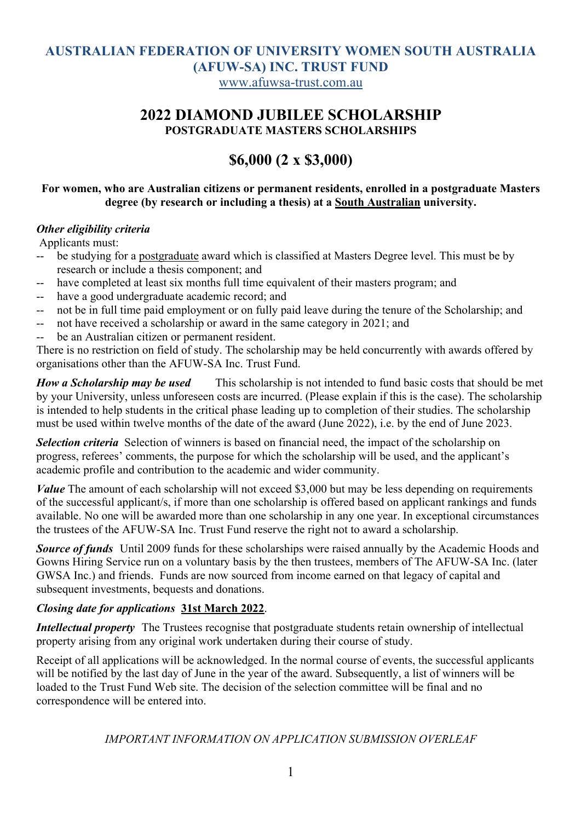# **AUSTRALIAN FEDERATION OF UNIVERSITY WOMEN SOUTH AUSTRALIA (AFUW-SA) INC. TRUST FUND**

www.afuwsa-trust.com.au

### **2022 DIAMOND JUBILEE SCHOLARSHIP POSTGRADUATE MASTERS SCHOLARSHIPS**

# **\$6,000 (2 x \$3,000)**

#### **For women, who are Australian citizens or permanent residents, enrolled in a postgraduate Masters degree (by research or including a thesis) at a South Australian university.**

#### *Other eligibility criteria*

Applicants must:

- -- be studying for a postgraduate award which is classified at Masters Degree level. This must be by research or include a thesis component; and
- have completed at least six months full time equivalent of their masters program; and
- -- have a good undergraduate academic record; and
- -- not be in full time paid employment or on fully paid leave during the tenure of the Scholarship; and
- -- not have received a scholarship or award in the same category in 2021; and
- -- be an Australian citizen or permanent resident.

There is no restriction on field of study. The scholarship may be held concurrently with awards offered by organisations other than the AFUW-SA Inc. Trust Fund.

*How a Scholarship may be used* This scholarship is not intended to fund basic costs that should be met by your University, unless unforeseen costs are incurred. (Please explain if this is the case). The scholarship is intended to help students in the critical phase leading up to completion of their studies. The scholarship must be used within twelve months of the date of the award (June 2022), i.e. by the end of June 2023.

*Selection criteria* Selection of winners is based on financial need, the impact of the scholarship on progress, referees' comments, the purpose for which the scholarship will be used, and the applicant's academic profile and contribution to the academic and wider community.

*Value* The amount of each scholarship will not exceed \$3,000 but may be less depending on requirements of the successful applicant/s, if more than one scholarship is offered based on applicant rankings and funds available. No one will be awarded more than one scholarship in any one year. In exceptional circumstances the trustees of the AFUW-SA Inc. Trust Fund reserve the right not to award a scholarship.

**Source of funds** Until 2009 funds for these scholarships were raised annually by the Academic Hoods and Gowns Hiring Service run on a voluntary basis by the then trustees, members of The AFUW-SA Inc. (later GWSA Inc.) and friends. Funds are now sourced from income earned on that legacy of capital and subsequent investments, bequests and donations.

#### *Closing date for applications* **31st March 2022**.

*Intellectual property* The Trustees recognise that postgraduate students retain ownership of intellectual property arising from any original work undertaken during their course of study.

Receipt of all applications will be acknowledged. In the normal course of events, the successful applicants will be notified by the last day of June in the year of the award. Subsequently, a list of winners will be loaded to the Trust Fund Web site. The decision of the selection committee will be final and no correspondence will be entered into.

#### *IMPORTANT INFORMATION ON APPLICATION SUBMISSION OVERLEAF*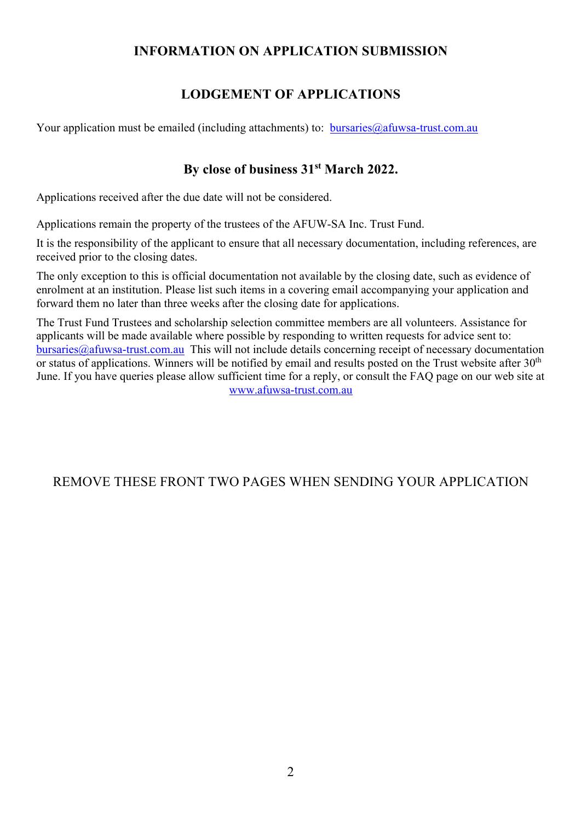### **INFORMATION ON APPLICATION SUBMISSION**

# **LODGEMENT OF APPLICATIONS**

Your application must be emailed (including attachments) to:  $bursaries@afuwsa-trust.com.au$ 

# **By close of business 31st March 2022.**

Applications received after the due date will not be considered.

Applications remain the property of the trustees of the AFUW-SA Inc. Trust Fund.

It is the responsibility of the applicant to ensure that all necessary documentation, including references, are received prior to the closing dates.

The only exception to this is official documentation not available by the closing date, such as evidence of enrolment at an institution. Please list such items in a covering email accompanying your application and forward them no later than three weeks after the closing date for applications.

The Trust Fund Trustees and scholarship selection committee members are all volunteers. Assistance for applicants will be made available where possible by responding to written requests for advice sent to: bursaries@afuwsa-trust.com.au This will not include details concerning receipt of necessary documentation or status of applications. Winners will be notified by email and results posted on the Trust website after  $30<sup>th</sup>$ June. If you have queries please allow sufficient time for a reply, or consult the FAQ page on our web site at www.afuwsa-trust.com.au

# REMOVE THESE FRONT TWO PAGES WHEN SENDING YOUR APPLICATION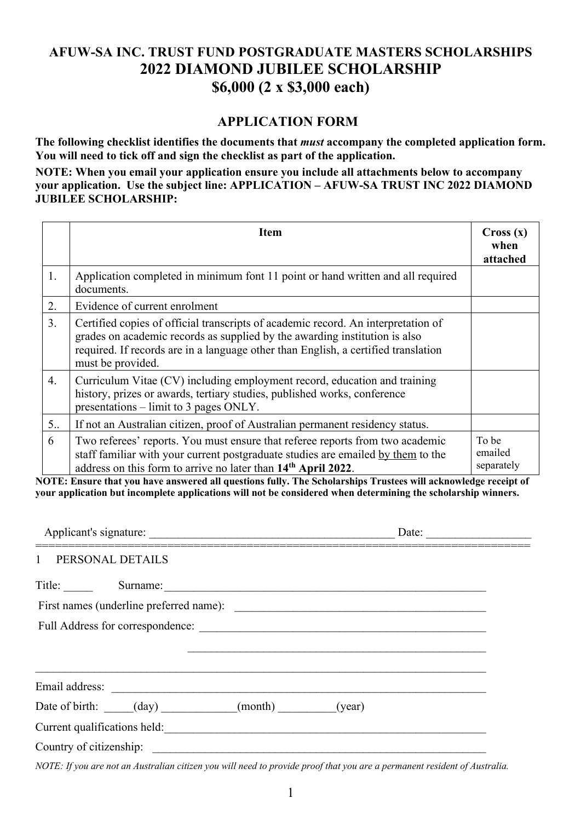# **AFUW-SA INC. TRUST FUND POSTGRADUATE MASTERS SCHOLARSHIPS 2022 DIAMOND JUBILEE SCHOLARSHIP \$6,000 (2 x \$3,000 each)**

#### **APPLICATION FORM**

**The following checklist identifies the documents that** *must* **accompany the completed application form. You will need to tick off and sign the checklist as part of the application.** 

**NOTE: When you email your application ensure you include all attachments below to accompany your application. Use the subject line: APPLICATION – AFUW-SA TRUST INC 2022 DIAMOND JUBILEE SCHOLARSHIP:**

|    | <b>Item</b>                                                                                                                                                                                                                                                                | Cross(x)<br>when<br>attached   |
|----|----------------------------------------------------------------------------------------------------------------------------------------------------------------------------------------------------------------------------------------------------------------------------|--------------------------------|
| 1. | Application completed in minimum font 11 point or hand written and all required<br>documents.                                                                                                                                                                              |                                |
| 2. | Evidence of current enrolment                                                                                                                                                                                                                                              |                                |
| 3. | Certified copies of official transcripts of academic record. An interpretation of<br>grades on academic records as supplied by the awarding institution is also<br>required. If records are in a language other than English, a certified translation<br>must be provided. |                                |
| 4. | Curriculum Vitae (CV) including employment record, education and training<br>history, prizes or awards, tertiary studies, published works, conference<br>presentations $-$ limit to 3 pages ONLY.                                                                          |                                |
| 5. | If not an Australian citizen, proof of Australian permanent residency status.                                                                                                                                                                                              |                                |
| 6  | Two referees' reports. You must ensure that referee reports from two academic<br>staff familiar with your current postgraduate studies are emailed by them to the<br>address on this form to arrive no later than 14 <sup>th</sup> April 2022.                             | To be<br>emailed<br>separately |

**NOTE: Ensure that you have answered all questions fully. The Scholarships Trustees will acknowledge receipt of your application but incomplete applications will not be considered when determining the scholarship winners.**

|                                                                                                                                                                                                                                | Date: |
|--------------------------------------------------------------------------------------------------------------------------------------------------------------------------------------------------------------------------------|-------|
| PERSONAL DETAILS<br>$\mathbf{1}$                                                                                                                                                                                               |       |
| Title: Surname: Surname: Surname: Surname: Surname: Surname: Surname: Surname: Surname: Surname: Surname: Surname: Surname: Surname: Surname: Surname: Surname: Surname: Surname: Surname: Surname: Surname: Surname: Surname: |       |
|                                                                                                                                                                                                                                |       |
|                                                                                                                                                                                                                                |       |
|                                                                                                                                                                                                                                |       |
| Email address: and a contract the contract of the contract of the contract of the contract of the contract of the contract of the contract of the contract of the contract of the contract of the contract of the contract of  |       |
| Date of birth: (day) (month) (year)                                                                                                                                                                                            |       |
|                                                                                                                                                                                                                                |       |
| Country of citizenship:                                                                                                                                                                                                        |       |
| NOTE: If you are not an Australian citizen you will need to provide proof that you are a permanent resident of Australia.                                                                                                      |       |

1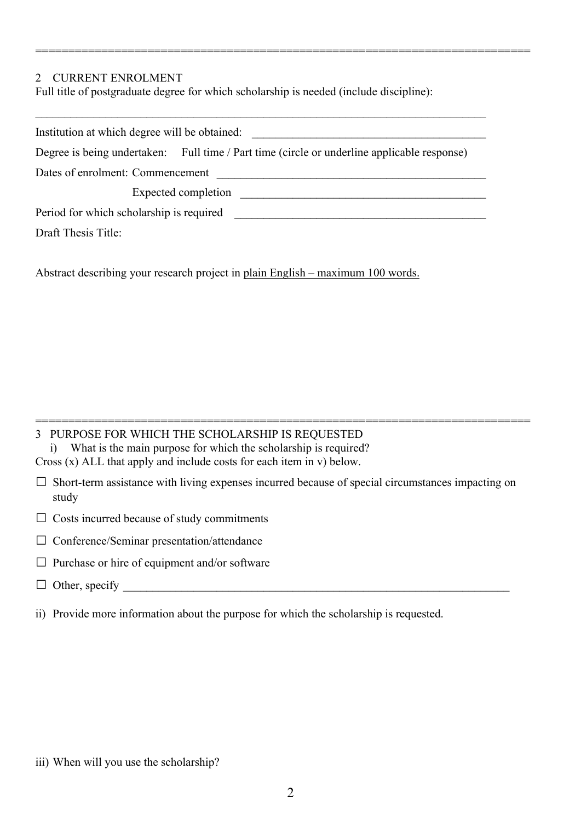#### 2 CURRENT ENROLMENT

Full title of postgraduate degree for which scholarship is needed (include discipline):

| Institution at which degree will be obtained: |                                                                                             |  |  |  |  |
|-----------------------------------------------|---------------------------------------------------------------------------------------------|--|--|--|--|
|                                               |                                                                                             |  |  |  |  |
|                                               | Degree is being undertaken: Full time / Part time (circle or underline applicable response) |  |  |  |  |
| Dates of enrolment: Commencement              |                                                                                             |  |  |  |  |
|                                               | Expected completion                                                                         |  |  |  |  |
| Period for which scholarship is required      |                                                                                             |  |  |  |  |
| Draft Thesis Title:                           |                                                                                             |  |  |  |  |

===========================================================================

Abstract describing your research project in plain English – maximum 100 words.

|  |  | 3 PURPOSE FOR WHICH THE SCHOLARSHIP IS REQUESTED                           |  |  |
|--|--|----------------------------------------------------------------------------|--|--|
|  |  | What is the main purpose for which the scholarship is required?            |  |  |
|  |  | Cross $(x)$ ALL that apply and include costs for each item in $v$ ) below. |  |  |

 $\square$  Short-term assistance with living expenses incurred because of special circumstances impacting on study

===========================================================================

 $\Box$  Costs incurred because of study commitments

□ Conference/Seminar presentation/attendance

- $\Box$  Purchase or hire of equipment and/or software
- $\Box$  Other, specify
- ii) Provide more information about the purpose for which the scholarship is requested.

iii) When will you use the scholarship?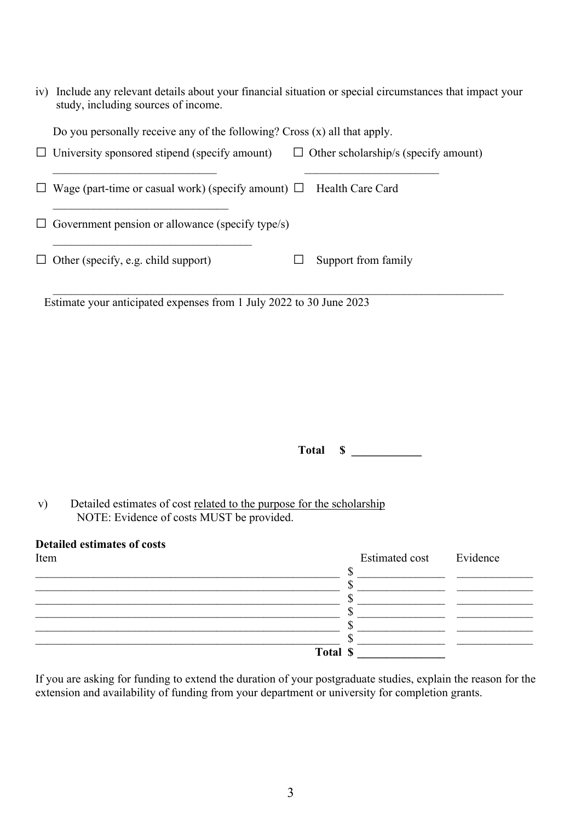| iv) Include any relevant details about your financial situation or special circumstances that impact your |
|-----------------------------------------------------------------------------------------------------------|
| study, including sources of income.                                                                       |

| Do you personally receive any of the following? Cross $(x)$ all that apply.                         |  |  |  |  |  |  |  |
|-----------------------------------------------------------------------------------------------------|--|--|--|--|--|--|--|
| $\Box$ University sponsored stipend (specify amount)<br>$\Box$ Other scholarship/s (specify amount) |  |  |  |  |  |  |  |
| $\Box$ Wage (part-time or casual work) (specify amount) $\Box$<br>Health Care Card                  |  |  |  |  |  |  |  |
| $\Box$ Government pension or allowance (specify type/s)                                             |  |  |  |  |  |  |  |
| $\Box$ Other (specify, e.g. child support)<br>Support from family                                   |  |  |  |  |  |  |  |
| Estimate your anticipated expenses from 1 July 2022 to 30 June 2023                                 |  |  |  |  |  |  |  |

**Total \$ \_\_\_\_\_\_\_\_\_\_\_\_**

v) Detailed estimates of cost related to the purpose for the scholarship NOTE: Evidence of costs MUST be provided.

| <b>Detailed estimates of costs</b><br>Item | <b>Estimated cost</b> | Evidence |
|--------------------------------------------|-----------------------|----------|
|                                            |                       |          |
|                                            |                       |          |
|                                            |                       |          |
|                                            |                       |          |
|                                            |                       |          |
|                                            |                       |          |
| Total \$                                   |                       |          |

If you are asking for funding to extend the duration of your postgraduate studies, explain the reason for the extension and availability of funding from your department or university for completion grants.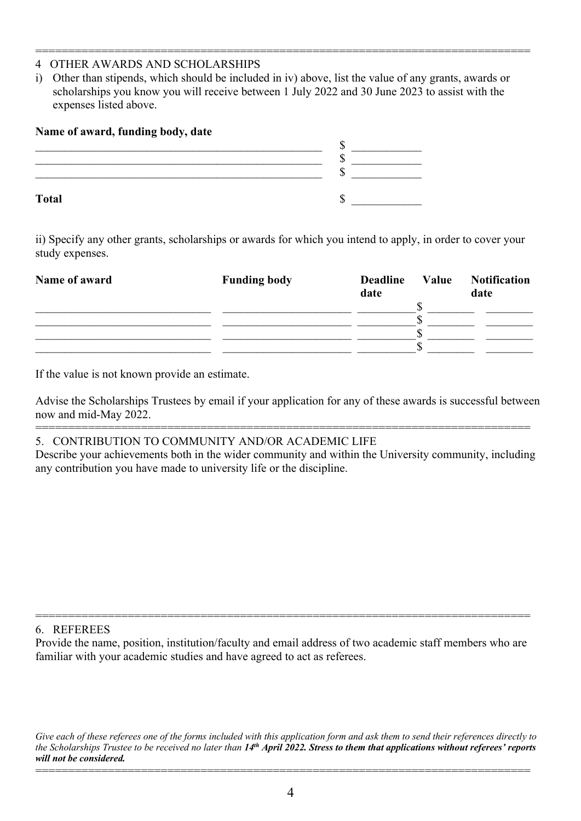#### =========================================================================== 4 OTHER AWARDS AND SCHOLARSHIPS

i) Other than stipends, which should be included in iv) above, list the value of any grants, awards or scholarships you know you will receive between 1 July 2022 and 30 June 2023 to assist with the expenses listed above.

| Name of award, funding body, date |    |
|-----------------------------------|----|
|                                   | κD |
|                                   |    |
|                                   |    |
| <b>Total</b>                      |    |
|                                   |    |

ii) Specify any other grants, scholarships or awards for which you intend to apply, in order to cover your study expenses.

| Name of award | <b>Funding body</b> | <b>Deadline</b><br>date | Value | <b>Notification</b><br>date |
|---------------|---------------------|-------------------------|-------|-----------------------------|
|               |                     |                         |       |                             |
|               |                     |                         |       |                             |

If the value is not known provide an estimate.

Advise the Scholarships Trustees by email if your application for any of these awards is successful between now and mid-May 2022.

=========================================================================== 5. CONTRIBUTION TO COMMUNITY AND/OR ACADEMIC LIFE

Describe your achievements both in the wider community and within the University community, including any contribution you have made to university life or the discipline.

6. REFEREES

Provide the name, position, institution/faculty and email address of two academic staff members who are familiar with your academic studies and have agreed to act as referees.

===========================================================================

*Give each of these referees one of the forms included with this application form and ask them to send their references directly to the Scholarships Trustee to be received no later than 14th April 2022. Stress to them that applications without referees' reports will not be considered.*

===========================================================================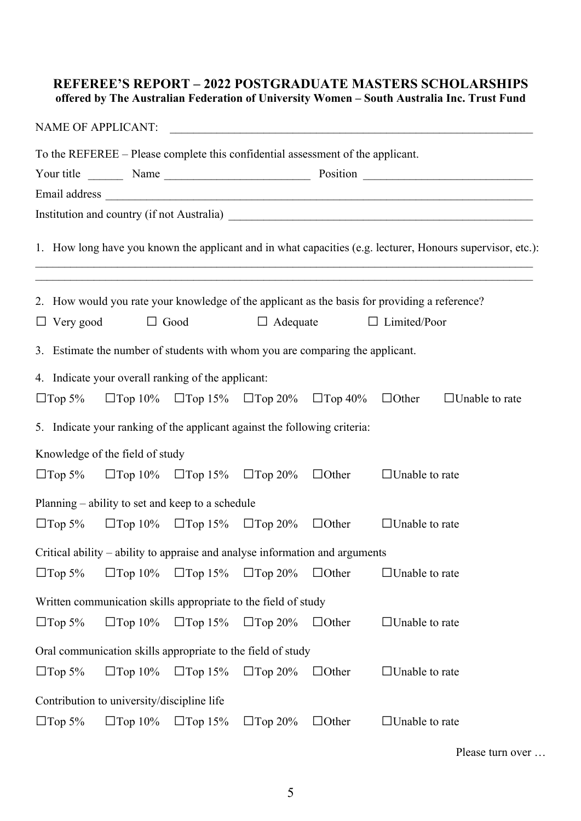### **REFEREE'S REPORT – 2022 POSTGRADUATE MASTERS SCHOLARSHIPS offered by The Australian Federation of University Women – South Australia Inc. Trust Fund**

|                  | NAME OF APPLICANT:                                                              |                                                             |                 |              |                                                                                                                                                                                   |
|------------------|---------------------------------------------------------------------------------|-------------------------------------------------------------|-----------------|--------------|-----------------------------------------------------------------------------------------------------------------------------------------------------------------------------------|
|                  | To the REFEREE – Please complete this confidential assessment of the applicant. |                                                             |                 |              |                                                                                                                                                                                   |
|                  |                                                                                 |                                                             |                 |              |                                                                                                                                                                                   |
|                  |                                                                                 |                                                             |                 |              |                                                                                                                                                                                   |
|                  |                                                                                 |                                                             |                 |              |                                                                                                                                                                                   |
|                  |                                                                                 |                                                             |                 |              | 1. How long have you known the applicant and in what capacities (e.g. lecturer, Honours supervisor, etc.):                                                                        |
|                  |                                                                                 |                                                             |                 |              | ,我们也不能在这里的时候,我们也不能在这里的时候,我们也不能会在这里的时候,我们也不能会在这里的时候,我们也不能会在这里的时候,我们也不能会在这里的时候,我们也<br>2. How would you rate your knowledge of the applicant as the basis for providing a reference? |
| $\Box$ Very good |                                                                                 | $\Box$ Good                                                 | $\Box$ Adequate |              | $\Box$ Limited/Poor                                                                                                                                                               |
|                  | 3. Estimate the number of students with whom you are comparing the applicant.   |                                                             |                 |              |                                                                                                                                                                                   |
|                  | 4. Indicate your overall ranking of the applicant:                              |                                                             |                 |              |                                                                                                                                                                                   |
| $\Box$ Top 5%    |                                                                                 | $\Box$ Top 10% $\Box$ Top 15% $\Box$ Top 20% $\Box$ Top 40% |                 |              | $\Box$ Other<br>$\Box$ Unable to rate                                                                                                                                             |
|                  | 5. Indicate your ranking of the applicant against the following criteria:       |                                                             |                 |              |                                                                                                                                                                                   |
|                  | Knowledge of the field of study                                                 |                                                             |                 |              |                                                                                                                                                                                   |
|                  | $\Box$ Top 5% $\Box$ Top 10% $\Box$ Top 15% $\Box$ Top 20% $\Box$ Other         |                                                             |                 |              | $\Box$ Unable to rate                                                                                                                                                             |
|                  | Planning – ability to set and keep to a schedule                                |                                                             |                 |              |                                                                                                                                                                                   |
|                  | $\Box$ Top 5% $\Box$ Top 10% $\Box$ Top 15% $\Box$ Top 20% $\Box$ Other         |                                                             |                 |              | $\Box$ Unable to rate                                                                                                                                                             |
|                  | Critical ability - ability to appraise and analyse information and arguments    |                                                             |                 |              |                                                                                                                                                                                   |
| $\Box$ Top 5%    | $\Box$ Top 10%                                                                  | $\Box$ Top 15%                                              | $\Box$ Top 20%  | $\Box$ Other | $\Box$ Unable to rate                                                                                                                                                             |
|                  | Written communication skills appropriate to the field of study                  |                                                             |                 |              |                                                                                                                                                                                   |
| $\Box$ Top 5%    | $\Box$ Top 10%                                                                  | $\Box$ Top 15%                                              | $\Box$ Top 20%  | $\Box$ Other | $\square$ Unable to rate                                                                                                                                                          |
|                  | Oral communication skills appropriate to the field of study                     |                                                             |                 |              |                                                                                                                                                                                   |
| $\Box$ Top 5%    | $\Box$ Top 10%                                                                  | $\Box$ Top 15%                                              | $\Box$ Top 20%  | $\Box$ Other | $\Box$ Unable to rate                                                                                                                                                             |
|                  | Contribution to university/discipline life                                      |                                                             |                 |              |                                                                                                                                                                                   |
| $\Box$ Top 5%    | $\Box$ Top 10%                                                                  | $\Box$ Top 15%                                              | $\Box$ Top 20%  | $\Box$ Other | $\Box$ Unable to rate                                                                                                                                                             |

Please turn over …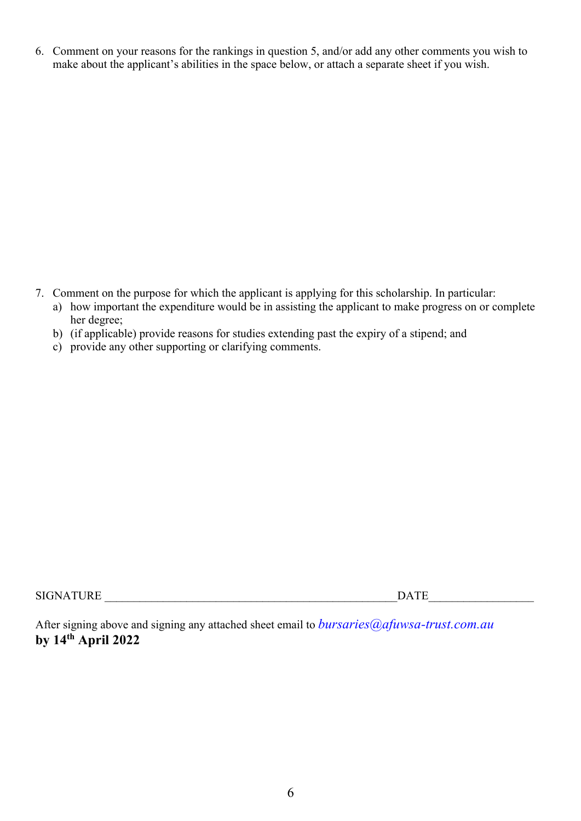6. Comment on your reasons for the rankings in question 5, and/or add any other comments you wish to make about the applicant's abilities in the space below, or attach a separate sheet if you wish.

- 7. Comment on the purpose for which the applicant is applying for this scholarship. In particular:
	- a) how important the expenditure would be in assisting the applicant to make progress on or complete her degree;
	- b) (if applicable) provide reasons for studies extending past the expiry of a stipend; and
	- c) provide any other supporting or clarifying comments.

SIGNATURE  $\Box$ 

After signing above and signing any attached sheet email to *bursaries@afuwsa-trust.com.au* **by 14th April 2022**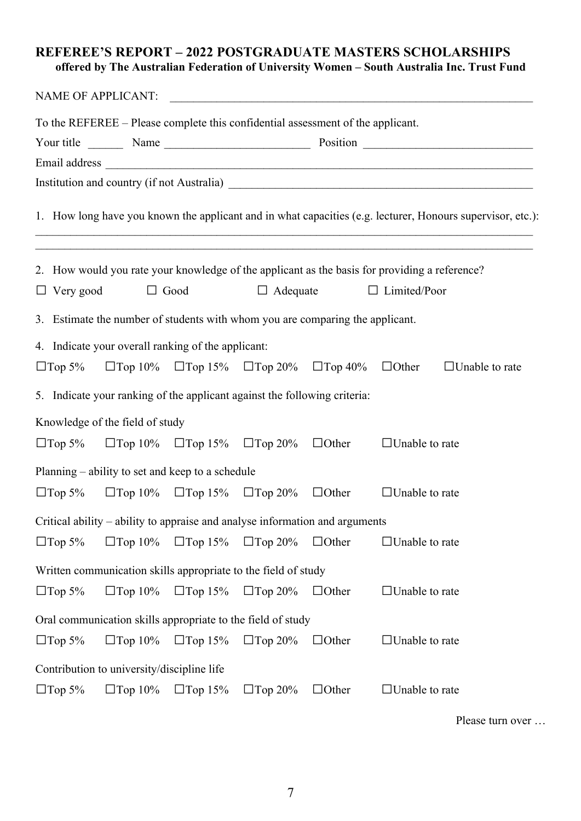### **REFEREE'S REPORT – 2022 POSTGRADUATE MASTERS SCHOLARSHIPS offered by The Australian Federation of University Women – South Australia Inc. Trust Fund**

|                  | NAME OF APPLICANT:                                                              |                |                |                                                             |                                                                                                                      |                       |
|------------------|---------------------------------------------------------------------------------|----------------|----------------|-------------------------------------------------------------|----------------------------------------------------------------------------------------------------------------------|-----------------------|
|                  | To the REFEREE – Please complete this confidential assessment of the applicant. |                |                |                                                             |                                                                                                                      |                       |
|                  |                                                                                 |                |                |                                                             |                                                                                                                      |                       |
|                  |                                                                                 |                |                |                                                             |                                                                                                                      |                       |
|                  |                                                                                 |                |                |                                                             |                                                                                                                      |                       |
|                  |                                                                                 |                |                |                                                             | 1. How long have you known the applicant and in what capacities (e.g. lecturer, Honours supervisor, etc.):           |                       |
|                  |                                                                                 |                |                |                                                             | 2. How would you rate your knowledge of the applicant as the basis for providing a reference?<br>$\Box$ Limited/Poor |                       |
| $\Box$ Very good | $\Box$ Good                                                                     |                |                | $\Box$ Adequate                                             |                                                                                                                      |                       |
|                  | 3. Estimate the number of students with whom you are comparing the applicant.   |                |                |                                                             |                                                                                                                      |                       |
|                  | 4. Indicate your overall ranking of the applicant:                              |                |                |                                                             |                                                                                                                      |                       |
| $\Box$ Top 5%    |                                                                                 |                |                | $\Box$ Top 10% $\Box$ Top 15% $\Box$ Top 20% $\Box$ Top 40% | $\Box$ Other                                                                                                         | $\Box$ Unable to rate |
|                  | 5. Indicate your ranking of the applicant against the following criteria:       |                |                |                                                             |                                                                                                                      |                       |
|                  | Knowledge of the field of study                                                 |                |                |                                                             |                                                                                                                      |                       |
|                  | $\Box$ Top 5% $\Box$ Top 10% $\Box$ Top 15% $\Box$ Top 20% $\Box$ Other         |                |                |                                                             | $\Box$ Unable to rate                                                                                                |                       |
|                  | Planning – ability to set and keep to a schedule                                |                |                |                                                             |                                                                                                                      |                       |
| $\Box$ Top 5%    | $\Box$ Top 10% $\Box$ Top 15% $\Box$ Top 20%                                    |                |                | $\Box$ Other                                                | $\Box$ Unable to rate                                                                                                |                       |
|                  | Critical ability – ability to appraise and analyse information and arguments    |                |                |                                                             |                                                                                                                      |                       |
| $\Box$ Top 5%    | $\Box$ Top 10%                                                                  | $\Box$ Top 15% | $\Box$ Top 20% | $\Box$ Other                                                | $\Box$ Unable to rate                                                                                                |                       |
|                  | Written communication skills appropriate to the field of study                  |                |                |                                                             |                                                                                                                      |                       |
| $\Box$ Top 5%    | $\Box$ Top 10%                                                                  | $\Box$ Top 15% | $\Box$ Top 20% | $\Box$ Other                                                | $\Box$ Unable to rate                                                                                                |                       |
|                  | Oral communication skills appropriate to the field of study                     |                |                |                                                             |                                                                                                                      |                       |
| $\Box$ Top 5%    | $\Box$ Top 10%                                                                  | $\Box$ Top 15% | $\Box$ Top 20% | $\Box$ Other                                                | $\Box$ Unable to rate                                                                                                |                       |
|                  | Contribution to university/discipline life                                      |                |                |                                                             |                                                                                                                      |                       |
| $\Box$ Top 5%    | $\Box$ Top 10%                                                                  | $\Box$ Top 15% | $\Box$ Top 20% | $\Box$ Other                                                | $\Box$ Unable to rate                                                                                                |                       |

Please turn over …